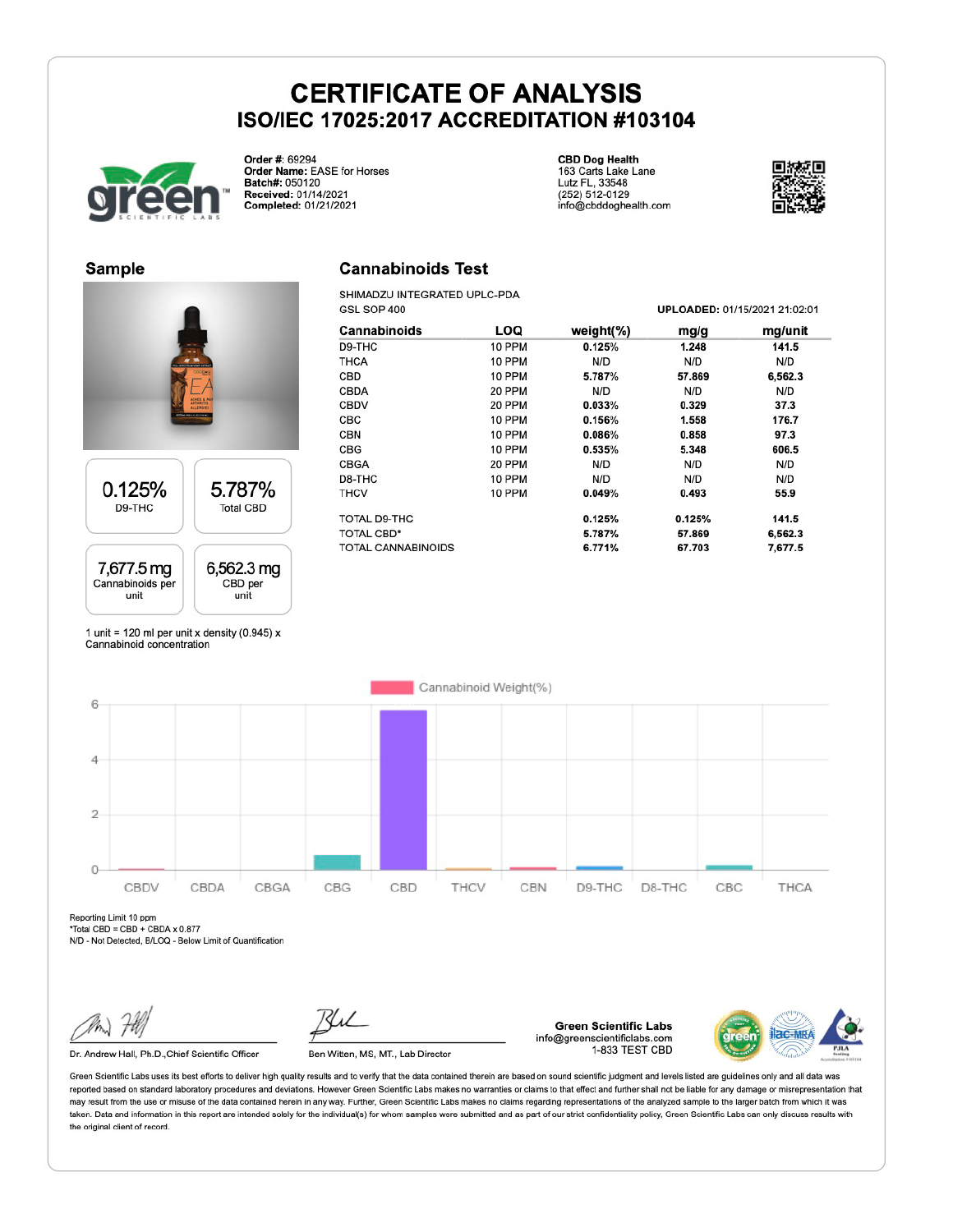

Order #: 69294 Order Name: EASE for Horses Batch#: 050120 Received: 01/14/2021 Completed: 01/21/2021

**CBD Dog Health** 163 Carts Lake Lane<br>Lutz FL, 33548<br>(252) 512-0129 info@cbddoghealth.com



**Sample** 





1 unit = 120 ml per unit x density (0.945)  $x$ Cannabinoid concentration

#### **Cannabinoids Test**

SHIMADZU INTEGRATED UPLC-PDA GSL SOP 400

| GSL SOP 400               |        |               | UPLOADED: 01/15/2021 21:02:01 |         |  |
|---------------------------|--------|---------------|-------------------------------|---------|--|
| <b>Cannabinoids</b>       | LOQ    | weight $(\%)$ | mg/g                          | mg/unit |  |
| D9-THC                    | 10 PPM | 0.125%        | 1.248                         | 141.5   |  |
| <b>THCA</b>               | 10 PPM | N/D           | N/D                           | N/D     |  |
| CBD                       | 10 PPM | 5.787%        | 57.869                        | 6,562.3 |  |
| <b>CBDA</b>               | 20 PPM | N/D           | N/D                           | N/D     |  |
| <b>CBDV</b>               | 20 PPM | 0.033%        | 0.329                         | 37.3    |  |
| CBC                       | 10 PPM | 0.156%        | 1.558                         | 176.7   |  |
| <b>CBN</b>                | 10 PPM | 0.086%        | 0.858                         | 97.3    |  |
| CBG                       | 10 PPM | 0.535%        | 5.348                         | 606.5   |  |
| <b>CBGA</b>               | 20 PPM | N/D           | N/D                           | N/D     |  |
| D8-THC                    | 10 PPM | N/D           | N/D                           | N/D     |  |
| <b>THCV</b>               | 10 PPM | 0.049%        | 0.493                         | 55.9    |  |
| <b>TOTAL D9-THC</b>       |        | 0.125%        | 0.125%                        | 141.5   |  |
| <b>TOTAL CBD*</b>         |        | 5.787%        | 57.869                        | 6,562.3 |  |
| <b>TOTAL CANNABINOIDS</b> |        | 6.771%        | 67.703                        | 7,677.5 |  |



Reporting Limit 10 ppm

\*Total CBD = CBD + CBDA x 0.877

N/D - Not Detected, B/LOQ - Below Limit of Quantification

Dr. Andrew Hall, Ph.D., Chief Scientific Officer

Ben Witten, MS, MT., Lab Director

**Green Scientific Labs** info@greenscientificlabs.com 1-833 TEST CBD



Green Scientific Labs uses its best efforts to deliver high quality results and to verify that the data contained therein are based on sound scientific judgment and levels listed are guidelines only and all data was reported based on standard laboratory procedures and deviations. However Green Scientific Labs makes no warranties or claims to that effect and further shall not be liable for any damage or misrepresentation that may result from the use or misuse of the data contained herein in any way. Further, Green Scientific Labs makes no claims regarding representations of the analyzed sample to the larger batch from which it was taken. Data and information in this report are intended solely for the individual(s) for whom samples were submitted and as part of our strict confidentiality policy. Green Scientific Labs can only discuss results with the original client of record.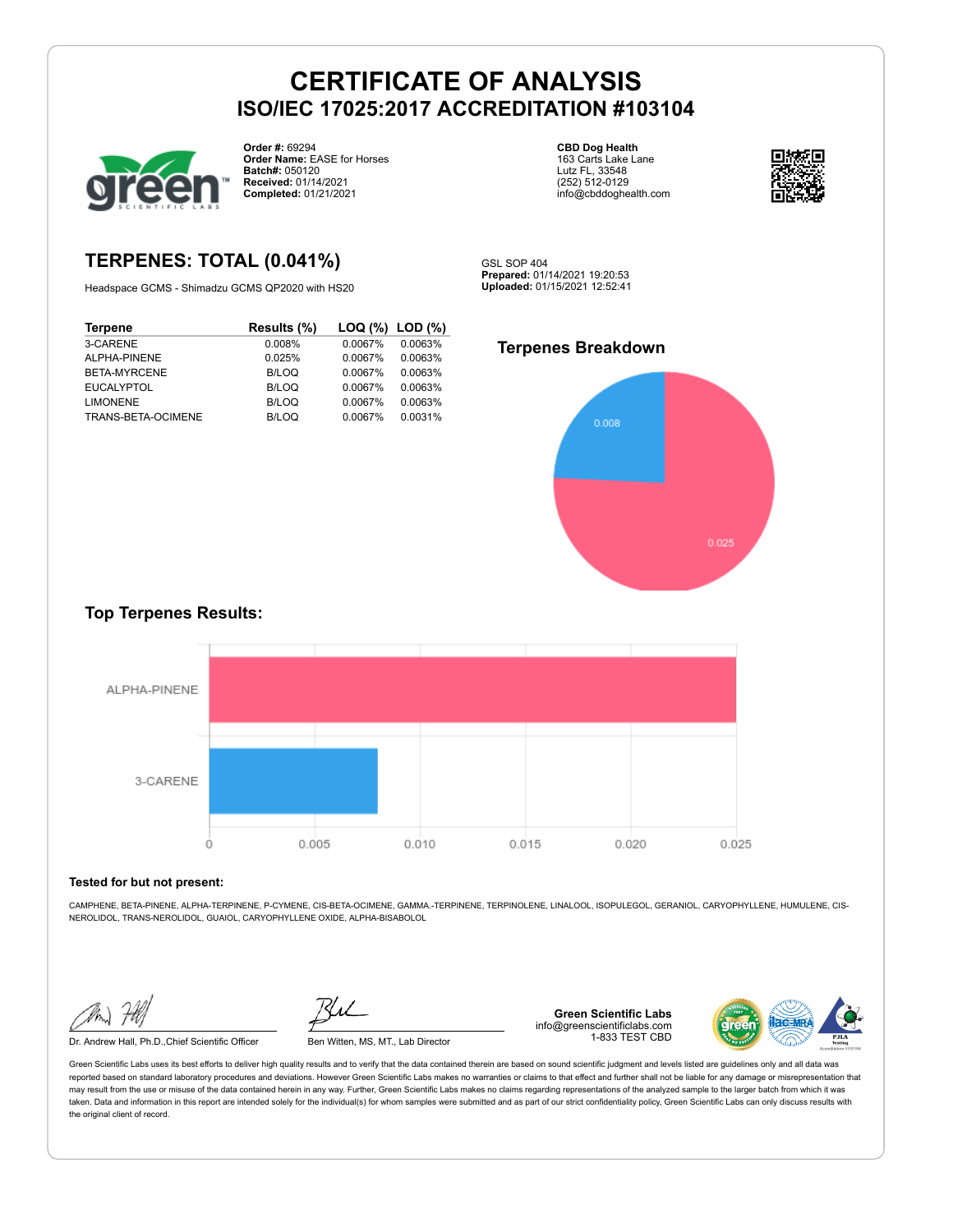

**Order #:** 69294 **Order Name:** EASE for Horses **Batch#:** 050120 **Received:** 01/14/2021 **Completed:** 01/21/2021

### **TERPENES: TOTAL (0.041%)**

Headspace GCMS - Shimadzu GCMS QP2020 with HS20

| <b>Terpene</b>     | Results (%)  | $\textsf{LOQ}$ (%) $\textsf{LOD}$ (%) |         |
|--------------------|--------------|---------------------------------------|---------|
| 3-CARENE           | 0.008%       | 0.0067%                               | 0.0063% |
| ALPHA-PINENE       | 0.025%       | 0.0067%                               | 0.0063% |
| BETA-MYRCENE       | B/LOQ        | 0.0067%                               | 0.0063% |
| <b>EUCALYPTOL</b>  | B/LOQ        | 0.0067%                               | 0.0063% |
| <b>LIMONENE</b>    | <b>B/LOQ</b> | 0.0067%                               | 0.0063% |
| TRANS-BETA-OCIMENE | B/LOQ        | 0.0067%                               | 0.0031% |
|                    |              |                                       |         |

**CBD Dog Health** 163 Carts Lake Lane Lutz FL, 33548 (252) 512-0129 info@cbddoghealth.com



GSL SOP 404 **Prepared:** 01/14/2021 19:20:53 **Uploaded:** 01/15/2021 12:52:41

#### **Terpenes Breakdown**



#### **Top Terpenes Results:**



#### **Tested for but not present:**

CAMPHENE, BETA-PINENE, ALPHA-TERPINENE, P-CYMENE, CIS-BETA-OCIMENE, GAMMA.-TERPINENE, TERPINOLENE, LINALOOL, ISOPULEGOL, GERANIOL, CARYOPHYLLENE, HUMULENE, CIS-NEROLIDOL, TRANS-NEROLIDOL, GUAIOL, CARYOPHYLLENE OXIDE, ALPHA-BISABOLOL

Dr. Andrew Hall, Ph.D., Chief Scientific Officer Ben Witten, MS, MT., Lab Director

**Green Scientific Labs** info@greenscientificlabs.com 1-833 TEST CBD



Green Scientific Labs uses its best efforts to deliver high quality results and to verify that the data contained therein are based on sound scientific judgment and levels listed are guidelines only and all data was reported based on standard laboratory procedures and deviations. However Green Scientific Labs makes no warranties or claims to that effect and further shall not be liable for any damage or misrepresentation that may result from the use or misuse of the data contained herein in any way. Further, Green Scientific Labs makes no claims regarding representations of the analyzed sample to the larger batch from which it was taken. Data and information in this report are intended solely for the individual(s) for whom samples were submitted and as part of our strict confidentiality policy, Green Scientific Labs can only discuss results with the original client of record.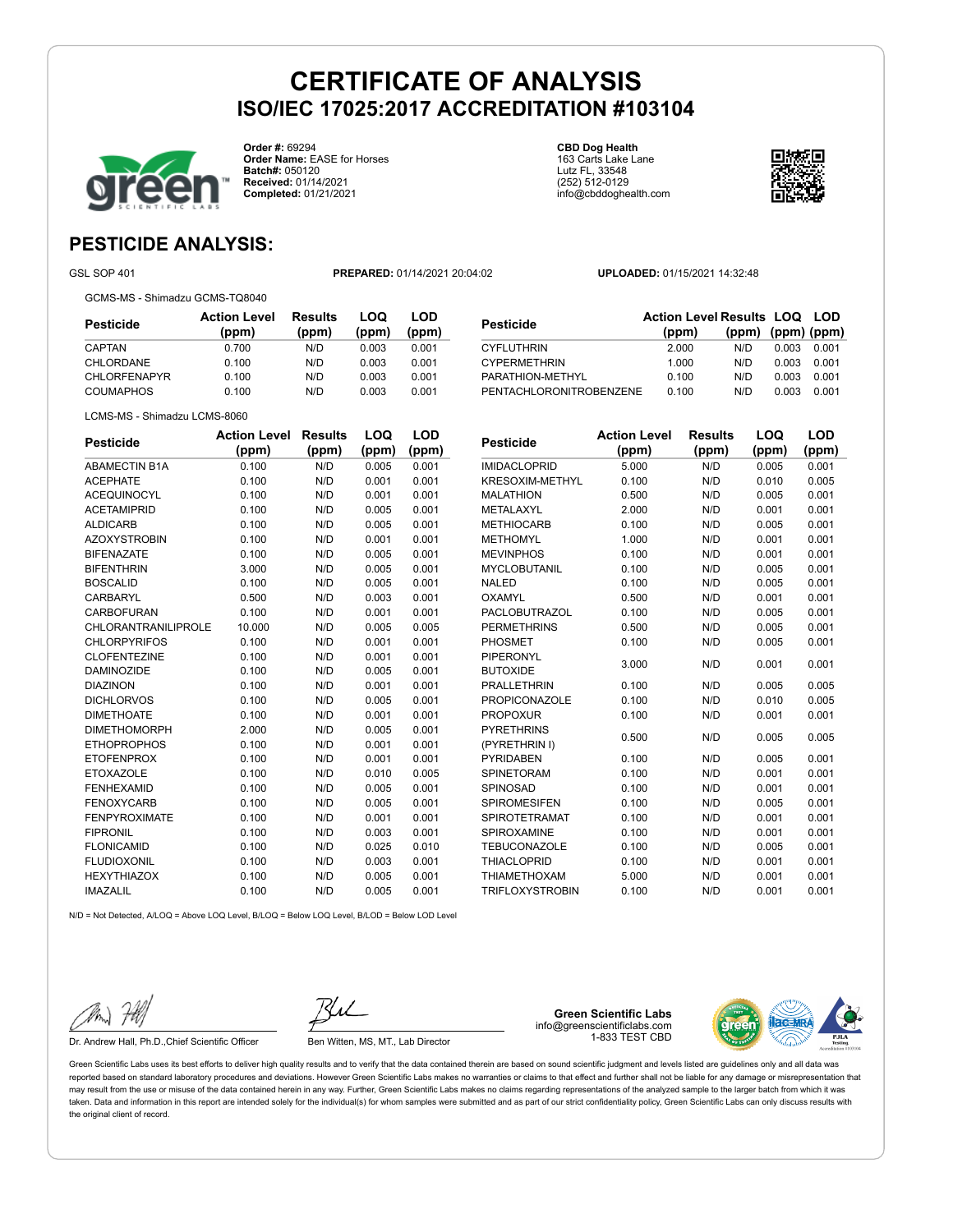

**Order #:** 69294 **Order Name:** EASE for Horses **Batch#:** 050120 **Received:** 01/14/2021 **Completed:** 01/21/2021

**CBD Dog Health** 163 Carts Lake Lane Lutz FL, 33548 (252) 512-0129 info@cbddoghealth.com



**(ppm) (ppm) (ppm)**

### **PESTICIDE ANALYSIS:**

GSL SOP 401 **PREPARED:** 01/14/2021 20:04:02 **UPLOADED:** 01/15/2021 14:32:48

**Pesticide Action Level Results LOQ LOD (ppm)**

CYFLUTHRIN 2.000 N/D 0.003 0.001 CYPERMETHRIN 1.000 N/D 0.003 0.001 PARATHION-METHYL 0.100 N/D 0.003 0.001 PENTACHLORONITROBENZENE 0.100 N/D 0.003 0.001

LCMS-MS - Shimadzu LCMS-8060

| <b>Pesticide</b>    | <b>Action Level</b><br>(ppm) | <b>Results</b><br>(ppm) | LOQ<br>(ppm) | LOD<br>(ppm) |
|---------------------|------------------------------|-------------------------|--------------|--------------|
| CAPTAN              | 0.700                        | N/D                     | 0.003        | 0.001        |
| CHLORDANE           | 0.100                        | N/D                     | 0.003        | 0.001        |
| <b>CHLORFENAPYR</b> | 0.100                        | N/D                     | 0.003        | 0.001        |
| <b>COUMAPHOS</b>    | 0.100                        | N/D                     | 0.003        | 0.001        |

N/D = Not Detected, A/LOQ = Above LOQ Level, B/LOQ = Below LOQ Level, B/LOD = Below LOD Level **Pesticide Action Level Results (ppm) (ppm) LOQ (ppm) LOD (ppm)** ABAMECTIN B1A 0.100 N/D 0.005 0.001 ACEPHATE 0.100 N/D 0.001 0.001 ACEQUINOCYL 0.100 N/D 0.001 0.001 ACETAMIPRID 0.100 N/D 0.005 0.001 ALDICARB 0.100 N/D 0.005 0.001 AZOXYSTROBIN 0.100 N/D 0.001 0.001 BIFENAZATE 0.100 N/D 0.005 0.001 BIFENTHRIN 3.000 N/D 0.005 0.001 BOSCALID 0.100 N/D 0.005 0.001 CARBARYL 0.500 N/D 0.003 0.001 CARBOFURAN 0.100 N/D 0.001 0.001 CHLORANTRANILIPROLE 10.000 N/D 0.005 0.005 CHLORPYRIFOS 0.100 N/D 0.001 0.001 CLOFENTEZINE 0.100 N/D 0.001 0.001 DAMINOZIDE 0.100 N/D 0.005 0.001 DIAZINON 0.100 N/D 0.001 0.001 DICHLORVOS 0.100 N/D 0.005 0.001 DIMETHOATE 0.100 N/D 0.001 0.001 DIMETHOMORPH 2.000 N/D 0.005 0.001 ETHOPROPHOS 0.100 N/D 0.001 0.001 ETOFENPROX 0.100 N/D 0.001 0.001 ETOXAZOLE 0.100 N/D 0.010 0.005 FENHEXAMID 0.100 N/D 0.005 0.001 FENOXYCARB 0.100 N/D 0.005 0.001 FENPYROXIMATE 0.100 N/D 0.001 0.001 FIPRONIL 0.100 N/D 0.003 0.001 FLONICAMID 0.100 N/D 0.025 0.010 FLUDIOXONIL 0.100 N/D 0.003 0.001 HEXYTHIAZOX 0.100 N/D 0.005 0.001 IMAZALIL 0.100 N/D 0.005 0.001

| Pesticide              | <b>Action Level</b> | Results | LOQ   | LOD   |
|------------------------|---------------------|---------|-------|-------|
|                        | (ppm)               | (ppm)   | (ppm) | (ppm) |
| <b>IMIDACLOPRID</b>    | 5.000               | N/D     | 0.005 | 0.001 |
| <b>KRESOXIM-METHYL</b> | 0.100               | N/D     | 0.010 | 0.005 |
| <b>MALATHION</b>       | 0.500               | N/D     | 0.005 | 0.001 |
| METALAXYL              | 2.000               | N/D     | 0.001 | 0.001 |
| <b>METHIOCARB</b>      | 0.100               | N/D     | 0.005 | 0.001 |
| <b>METHOMYL</b>        | 1.000               | N/D     | 0.001 | 0.001 |
| <b>MEVINPHOS</b>       | 0.100               | N/D     | 0.001 | 0.001 |
| MYCLOBUTANIL           | 0.100               | N/D     | 0.005 | 0.001 |
| <b>NALED</b>           | 0.100               | N/D     | 0.005 | 0.001 |
| OXAMYL                 | 0.500               | N/D     | 0.001 | 0.001 |
| <b>PACLOBUTRAZOL</b>   | 0.100               | N/D     | 0.005 | 0.001 |
| <b>PERMETHRINS</b>     | 0.500               | N/D     | 0.005 | 0.001 |
| PHOSMET                | 0.100               | N/D     | 0.005 | 0.001 |
| PIPERONYL              | 3.000               | N/D     | 0.001 | 0.001 |
| <b>BUTOXIDE</b>        |                     |         |       |       |
| <b>PRALLETHRIN</b>     | 0.100               | N/D     | 0.005 | 0.005 |
| <b>PROPICONAZOLE</b>   | 0.100               | N/D     | 0.010 | 0.005 |
| <b>PROPOXUR</b>        | 0.100               | N/D     | 0.001 | 0.001 |
| <b>PYRETHRINS</b>      | 0.500               | N/D     | 0.005 | 0.005 |
| (PYRETHRIN I)          |                     |         |       |       |
| PYRIDABEN              | 0.100               | N/D     | 0.005 | 0.001 |
| SPINETORAM             | 0.100               | N/D     | 0.001 | 0.001 |
| <b>SPINOSAD</b>        | 0.100               | N/D     | 0.001 | 0.001 |
| <b>SPIROMESIFEN</b>    | 0.100               | N/D     | 0.005 | 0.001 |
| SPIROTETRAMAT          | 0.100               | N/D     | 0.001 | 0.001 |
| <b>SPIROXAMINE</b>     | 0.100               | N/D     | 0.001 | 0.001 |
| TEBUCONAZOLE           | 0.100               | N/D     | 0.005 | 0.001 |
| <b>THIACLOPRID</b>     | 0.100               | N/D     | 0.001 | 0.001 |
| <b>THIAMETHOXAM</b>    | 5.000               | N/D     | 0.001 | 0.001 |
| <b>TRIFLOXYSTROBIN</b> | 0.100               | N/D     | 0.001 | 0.001 |

Dr. Andrew Hall, Ph.D.,Chief Scientific Officer Ben Witten, MS, MT., Lab Director

**Green Scientific Labs** info@greenscientificlabs.com 1-833 TEST CBD



Green Scientific Labs uses its best efforts to deliver high quality results and to verify that the data contained therein are based on sound scientific judgment and levels listed are guidelines only and all data was reported based on standard laboratory procedures and deviations. However Green Scientific Labs makes no warranties or claims to that effect and further shall not be liable for any damage or misrepresentation that may result from the use or misuse of the data contained herein in any way. Further, Green Scientific Labs makes no claims regarding representations of the analyzed sample to the larger batch from which it was taken. Data and information in this report are intended solely for the individual(s) for whom samples were submitted and as part of our strict confidentiality policy. Green Scientific Labs can only discuss results with the original client of record.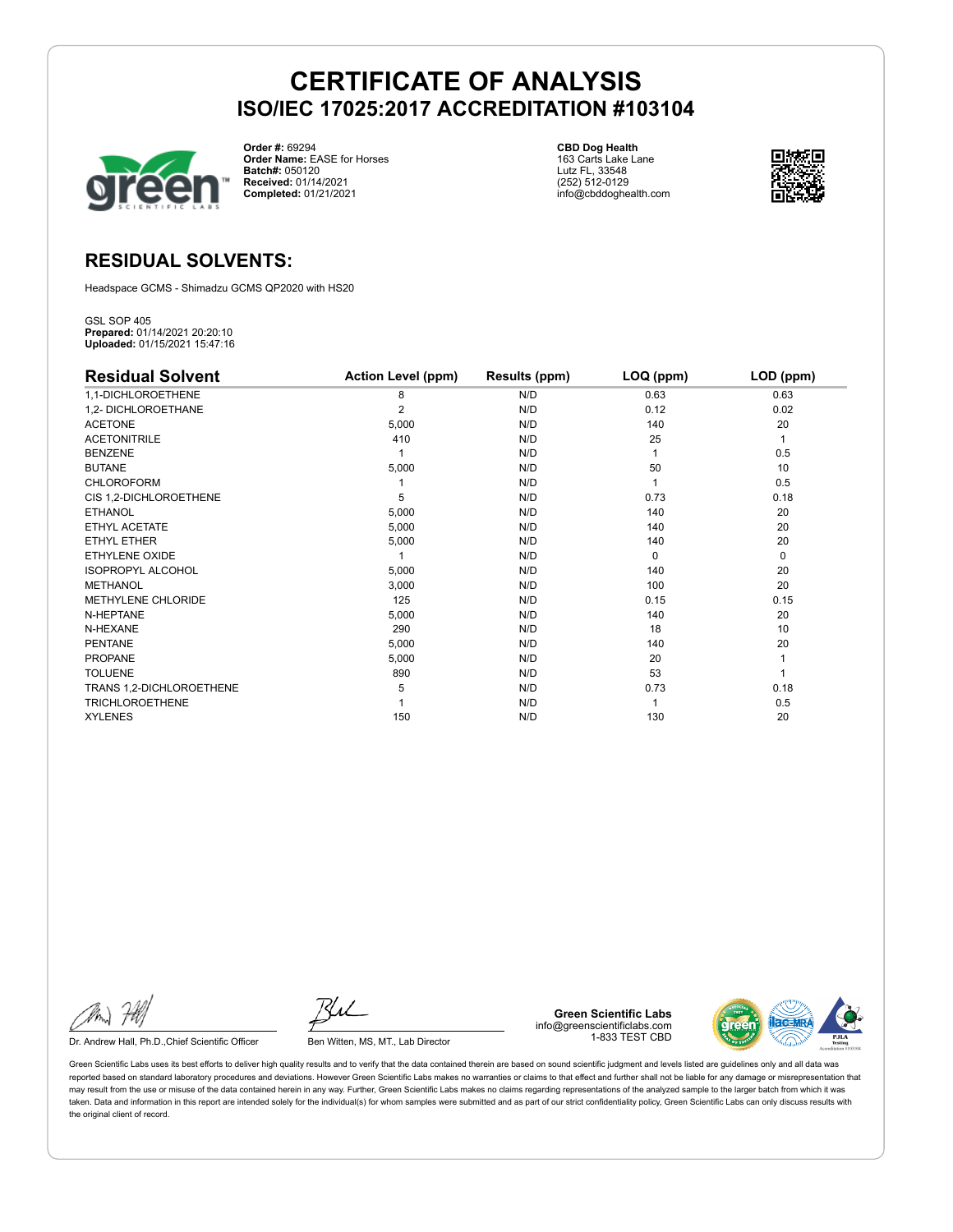

**Order #:** 69294 **Order Name:** EASE for Horses **Batch#:** 050120 **Received:** 01/14/2021 **Completed:** 01/21/2021

**CBD Dog Health** 163 Carts Lake Lane Lutz FL, 33548 (252) 512-0129 info@cbddoghealth.com



### **RESIDUAL SOLVENTS:**

Headspace GCMS - Shimadzu GCMS QP2020 with HS20

GSL SOP 405 **Prepared:** 01/14/2021 20:20:10 **Uploaded:** 01/15/2021 15:47:16

| <b>Residual Solvent</b>   | <b>Action Level (ppm)</b> | Results (ppm) | LOQ (ppm) | LOD (ppm)    |
|---------------------------|---------------------------|---------------|-----------|--------------|
| 1,1-DICHLOROETHENE        | 8                         | N/D           | 0.63      | 0.63         |
| 1,2- DICHLOROETHANE       | 2                         | N/D           | 0.12      | 0.02         |
| <b>ACETONE</b>            | 5,000                     | N/D           | 140       | 20           |
| <b>ACETONITRILE</b>       | 410                       | N/D           | 25        | $\mathbf{1}$ |
| <b>BENZENE</b>            |                           | N/D           |           | 0.5          |
| <b>BUTANE</b>             | 5,000                     | N/D           | 50        | 10           |
| <b>CHLOROFORM</b>         |                           | N/D           |           | 0.5          |
| CIS 1,2-DICHLOROETHENE    | 5                         | N/D           | 0.73      | 0.18         |
| <b>ETHANOL</b>            | 5,000                     | N/D           | 140       | 20           |
| ETHYL ACETATE             | 5,000                     | N/D           | 140       | 20           |
| ETHYL ETHER               | 5,000                     | N/D           | 140       | 20           |
| <b>ETHYLENE OXIDE</b>     |                           | N/D           | $\Omega$  | $\mathbf 0$  |
| <b>ISOPROPYL ALCOHOL</b>  | 5,000                     | N/D           | 140       | 20           |
| <b>METHANOL</b>           | 3,000                     | N/D           | 100       | 20           |
| <b>METHYLENE CHLORIDE</b> | 125                       | N/D           | 0.15      | 0.15         |
| N-HEPTANE                 | 5,000                     | N/D           | 140       | 20           |
| N-HEXANE                  | 290                       | N/D           | 18        | 10           |
| <b>PENTANE</b>            | 5,000                     | N/D           | 140       | 20           |
| <b>PROPANE</b>            | 5,000                     | N/D           | 20        |              |
| <b>TOLUENE</b>            | 890                       | N/D           | 53        |              |
| TRANS 1,2-DICHLOROETHENE  | 5                         | N/D           | 0.73      | 0.18         |
| <b>TRICHLOROETHENE</b>    |                           | N/D           |           | 0.5          |
| <b>XYLENES</b>            | 150                       | N/D           | 130       | 20           |

Dr. Andrew Hall, Ph.D., Chief Scientific Officer Ben Witten, MS, MT., Lab Director

**Green Scientific Labs** info@greenscientificlabs.com 1-833 TEST CBD



Green Scientific Labs uses its best efforts to deliver high quality results and to verify that the data contained therein are based on sound scientific judgment and levels listed are guidelines only and all data was reported based on standard laboratory procedures and deviations. However Green Scientific Labs makes no warranties or claims to that effect and further shall not be liable for any damage or misrepresentation that may result from the use or misuse of the data contained herein in any way. Further, Green Scientific Labs makes no claims regarding representations of the analyzed sample to the larger batch from which it was taken. Data and information in this report are intended solely for the individual(s) for whom samples were submitted and as part of our strict confidentiality policy, Green Scientific Labs can only discuss results with the original client of record.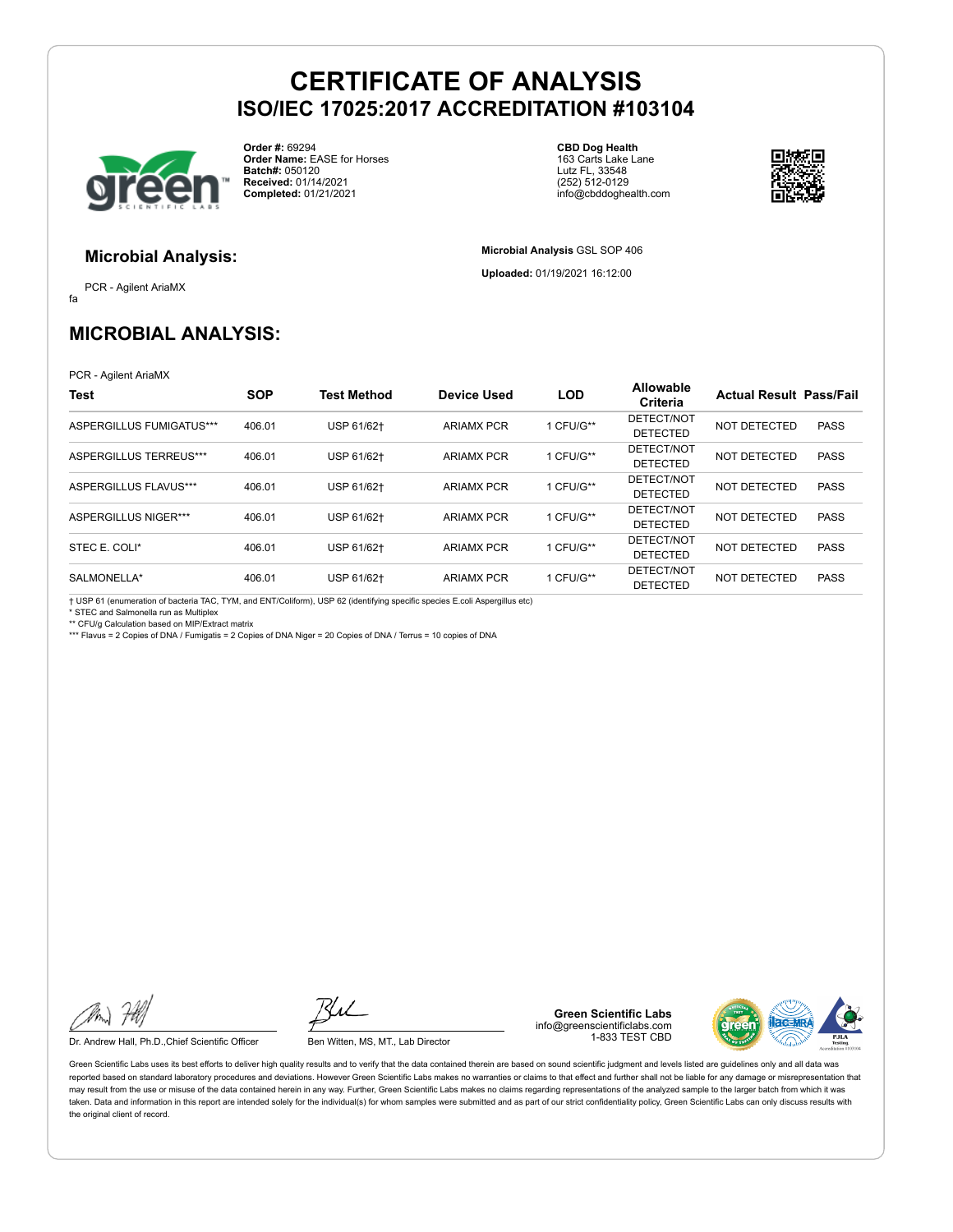

**Order #:** 69294 **Order Name:** EASE for Horses **Batch#:** 050120 **Received:** 01/14/2021 **Completed:** 01/21/2021

**CBD Dog Health** 163 Carts Lake Lane Lutz FL, 33548 (252) 512-0129 info@cbddoghealth.com

**Microbial Analysis** GSL SOP 406 **Uploaded:** 01/19/2021 16:12:00



**Microbial Analysis:**

fa PCR - Agilent AriaMX

### **MICROBIAL ANALYSIS:**

PCR - Agilent AriaMX

| Test                        | <b>SOP</b> | <b>Test Method</b> | <b>Device Used</b> | <b>LOD</b> | Allowable<br>Criteria         | <b>Actual Result Pass/Fail</b> |             |
|-----------------------------|------------|--------------------|--------------------|------------|-------------------------------|--------------------------------|-------------|
| ASPERGILLUS FUMIGATUS***    | 406.01     | USP 61/62+         | <b>ARIAMX PCR</b>  | 1 CFU/G**  | DETECT/NOT<br><b>DETECTED</b> | NOT DETECTED                   | <b>PASS</b> |
| ASPERGILLUS TERREUS***      | 406.01     | USP 61/62+         | <b>ARIAMX PCR</b>  | 1 CFU/G**  | DETECT/NOT<br><b>DETECTED</b> | NOT DETECTED                   | <b>PASS</b> |
| ASPERGILLUS FLAVUS***       | 406.01     | USP 61/62+         | <b>ARIAMX PCR</b>  | 1 CFU/G**  | DETECT/NOT<br><b>DETECTED</b> | NOT DETECTED                   | <b>PASS</b> |
| <b>ASPERGILLUS NIGER***</b> | 406.01     | USP 61/62+         | <b>ARIAMX PCR</b>  | 1 CFU/G**  | DETECT/NOT<br><b>DETECTED</b> | NOT DETECTED                   | <b>PASS</b> |
| STEC E. COLI*               | 406.01     | USP 61/62+         | <b>ARIAMX PCR</b>  | 1 CFU/G**  | DETECT/NOT<br><b>DETECTED</b> | NOT DETECTED                   | <b>PASS</b> |
| SALMONELLA*                 | 406.01     | USP 61/62+         | <b>ARIAMX PCR</b>  | 1 CFU/G**  | DETECT/NOT<br><b>DETECTED</b> | NOT DETECTED                   | <b>PASS</b> |

† USP 61 (enumeration of bacteria TAC, TYM, and ENT/Coliform), USP 62 (identifying specific species E.coli Aspergillus etc)

\* STEC and Salmonella run as Multiplex \*\* CFU/g Calculation based on MIP/Extract matrix

\*\*\* Flavus = 2 Copies of DNA / Fumigatis = 2 Copies of DNA Niger = 20 Copies of DNA / Terrus = 10 copies of DNA

Dr. Andrew Hall, Ph.D.,Chief Scientific Officer Ben Witten, MS, MT., Lab Director

**Green Scientific Labs** info@greenscientificlabs.com 1-833 TEST CBD



Green Scientific Labs uses its best efforts to deliver high quality results and to verify that the data contained therein are based on sound scientific judgment and levels listed are guidelines only and all data was reported based on standard laboratory procedures and deviations. However Green Scientific Labs makes no warranties or claims to that effect and further shall not be liable for any damage or misrepresentation that may result from the use or misuse of the data contained herein in any way. Further, Green Scientific Labs makes no claims regarding representations of the analyzed sample to the larger batch from which it was taken. Data and information in this report are intended solely for the individual(s) for whom samples were submitted and as part of our strict confidentiality policy, Green Scientific Labs can only discuss results with the original client of record.